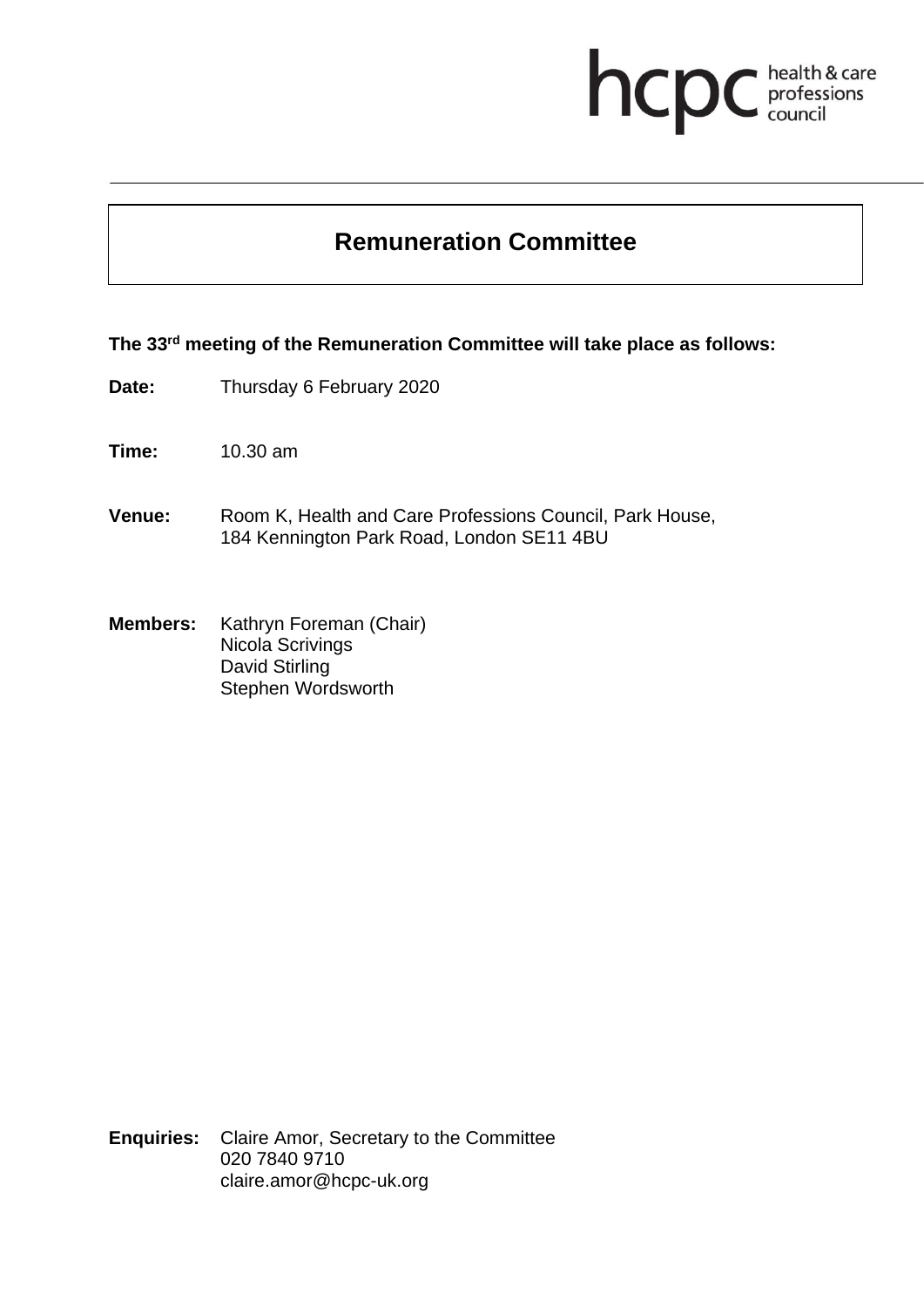# **health & care**

# **Remuneration Committee**

#### **The 33 rd meeting of the Remuneration Committee will take place as follows:**

- **Date:** Thursday 6 February 2020
- **Time:** 10.30 am
- **Venue:** Room K, Health and Care Professions Council, Park House, 184 Kennington Park Road, London SE11 4BU
- **Members:** Kathryn Foreman (Chair) Nicola Scrivings David Stirling Stephen Wordsworth

**Enquiries:** Claire Amor, Secretary to the Committee 020 7840 9710 claire.amor@hcpc-uk.org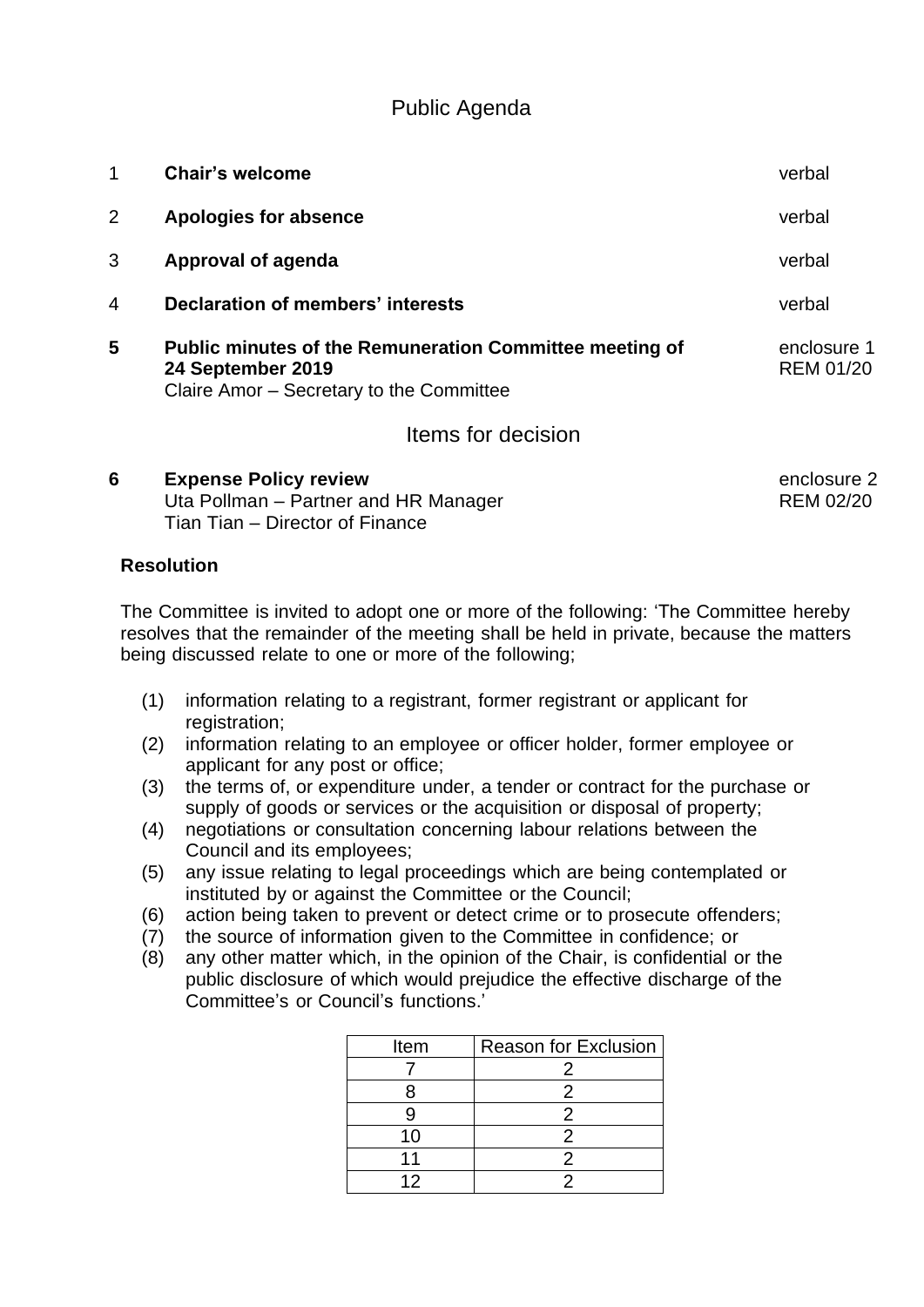## Public Agenda

| 1              | <b>Chair's welcome</b>                                                                                                          | verbal                          |
|----------------|---------------------------------------------------------------------------------------------------------------------------------|---------------------------------|
| 2              | Apologies for absence                                                                                                           | verbal                          |
| 3              | Approval of agenda                                                                                                              | verbal                          |
| $\overline{4}$ | Declaration of members' interests                                                                                               | verbal                          |
| 5              | <b>Public minutes of the Remuneration Committee meeting of</b><br>24 September 2019<br>Claire Amor - Secretary to the Committee | enclosure 1<br><b>REM 01/20</b> |
|                | Items for decision                                                                                                              |                                 |

#### **6 Expense Policy review enclosure 2 enclosure 2** Uta Pollman – Partner and HR Manager REM 02/20 Tian Tian – Director of Finance

### **Resolution**

The Committee is invited to adopt one or more of the following: 'The Committee hereby resolves that the remainder of the meeting shall be held in private, because the matters being discussed relate to one or more of the following;

- (1) information relating to a registrant, former registrant or applicant for registration;
- (2) information relating to an employee or officer holder, former employee or applicant for any post or office;
- (3) the terms of, or expenditure under, a tender or contract for the purchase or supply of goods or services or the acquisition or disposal of property;
- (4) negotiations or consultation concerning labour relations between the Council and its employees;
- (5) any issue relating to legal proceedings which are being contemplated or instituted by or against the Committee or the Council;
- (6) action being taken to prevent or detect crime or to prosecute offenders;
- (7) the source of information given to the Committee in confidence; or
- (8) any other matter which, in the opinion of the Chair, is confidential or the public disclosure of which would prejudice the effective discharge of the Committee's or Council's functions.'

| Item | <b>Reason for Exclusion</b> |
|------|-----------------------------|
|      |                             |
|      |                             |
|      |                             |
| 10   |                             |
|      |                             |
| 12   |                             |